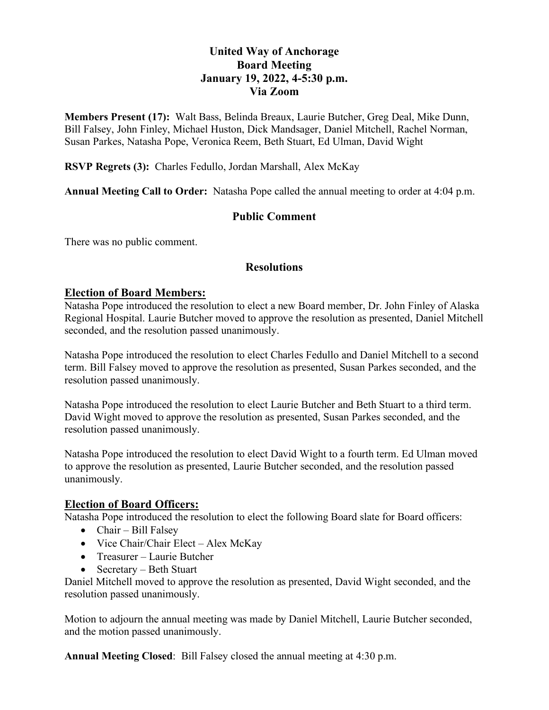# **United Way of Anchorage Board Meeting January 19, 2022, 4-5:30 p.m. Via Zoom**

**Members Present (17):** Walt Bass, Belinda Breaux, Laurie Butcher, Greg Deal, Mike Dunn, Bill Falsey, John Finley, Michael Huston, Dick Mandsager, Daniel Mitchell, Rachel Norman, Susan Parkes, Natasha Pope, Veronica Reem, Beth Stuart, Ed Ulman, David Wight

**RSVP Regrets (3):** Charles Fedullo, Jordan Marshall, Alex McKay

**Annual Meeting Call to Order:** Natasha Pope called the annual meeting to order at 4:04 p.m.

## **Public Comment**

There was no public comment.

#### **Resolutions**

#### **Election of Board Members:**

Natasha Pope introduced the resolution to elect a new Board member, Dr. John Finley of Alaska Regional Hospital. Laurie Butcher moved to approve the resolution as presented, Daniel Mitchell seconded, and the resolution passed unanimously.

Natasha Pope introduced the resolution to elect Charles Fedullo and Daniel Mitchell to a second term. Bill Falsey moved to approve the resolution as presented, Susan Parkes seconded, and the resolution passed unanimously.

Natasha Pope introduced the resolution to elect Laurie Butcher and Beth Stuart to a third term. David Wight moved to approve the resolution as presented, Susan Parkes seconded, and the resolution passed unanimously.

Natasha Pope introduced the resolution to elect David Wight to a fourth term. Ed Ulman moved to approve the resolution as presented, Laurie Butcher seconded, and the resolution passed unanimously.

### **Election of Board Officers:**

Natasha Pope introduced the resolution to elect the following Board slate for Board officers:

- Chair Bill Falsey
- Vice Chair/Chair Elect Alex McKay
- Treasurer Laurie Butcher
- Secretary Beth Stuart

Daniel Mitchell moved to approve the resolution as presented, David Wight seconded, and the resolution passed unanimously.

Motion to adjourn the annual meeting was made by Daniel Mitchell, Laurie Butcher seconded, and the motion passed unanimously.

**Annual Meeting Closed**: Bill Falsey closed the annual meeting at 4:30 p.m.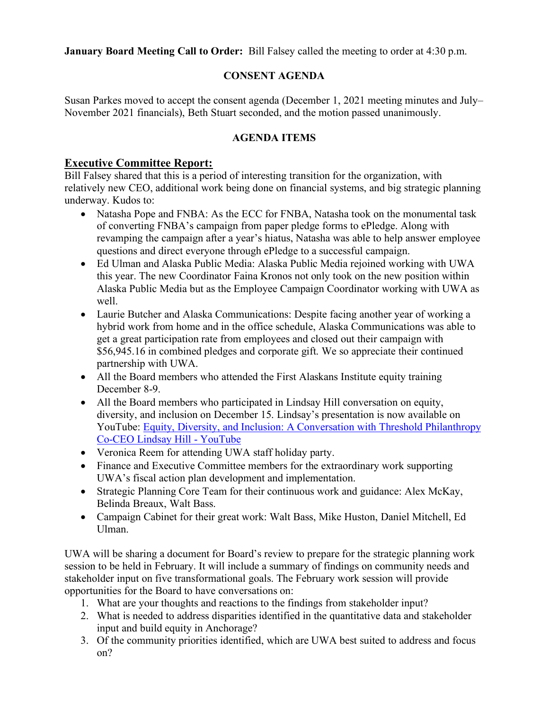**January Board Meeting Call to Order:** Bill Falsey called the meeting to order at 4:30 p.m.

## **CONSENT AGENDA**

Susan Parkes moved to accept the consent agenda (December 1, 2021 meeting minutes and July– November 2021 financials), Beth Stuart seconded, and the motion passed unanimously.

## **AGENDA ITEMS**

## **Executive Committee Report:**

Bill Falsey shared that this is a period of interesting transition for the organization, with relatively new CEO, additional work being done on financial systems, and big strategic planning underway. Kudos to:

- Natasha Pope and FNBA: As the ECC for FNBA, Natasha took on the monumental task of converting FNBA's campaign from paper pledge forms to ePledge. Along with revamping the campaign after a year's hiatus, Natasha was able to help answer employee questions and direct everyone through ePledge to a successful campaign.
- Ed Ulman and Alaska Public Media: Alaska Public Media rejoined working with UWA this year. The new Coordinator Faina Kronos not only took on the new position within Alaska Public Media but as the Employee Campaign Coordinator working with UWA as well.
- Laurie Butcher and Alaska Communications: Despite facing another year of working a hybrid work from home and in the office schedule, Alaska Communications was able to get a great participation rate from employees and closed out their campaign with \$56,945.16 in combined pledges and corporate gift. We so appreciate their continued partnership with UWA.
- All the Board members who attended the First Alaskans Institute equity training December 8-9.
- All the Board members who participated in Lindsay Hill conversation on equity, diversity, and inclusion on December 15. Lindsay's presentation is now available on YouTube: Equity, Diversity, and Inclusion: A Conversation with Threshold Philanthropy [Co-CEO Lindsay Hill - YouTube](https://www.youtube.com/watch?v=GQm669HjXk0)
- Veronica Reem for attending UWA staff holiday party.
- Finance and Executive Committee members for the extraordinary work supporting UWA's fiscal action plan development and implementation.
- Strategic Planning Core Team for their continuous work and guidance: Alex McKay, Belinda Breaux, Walt Bass.
- Campaign Cabinet for their great work: Walt Bass, Mike Huston, Daniel Mitchell, Ed Ulman.

UWA will be sharing a document for Board's review to prepare for the strategic planning work session to be held in February. It will include a summary of findings on community needs and stakeholder input on five transformational goals. The February work session will provide opportunities for the Board to have conversations on:

- 1. What are your thoughts and reactions to the findings from stakeholder input?
- 2. What is needed to address disparities identified in the quantitative data and stakeholder input and build equity in Anchorage?
- 3. Of the community priorities identified, which are UWA best suited to address and focus on?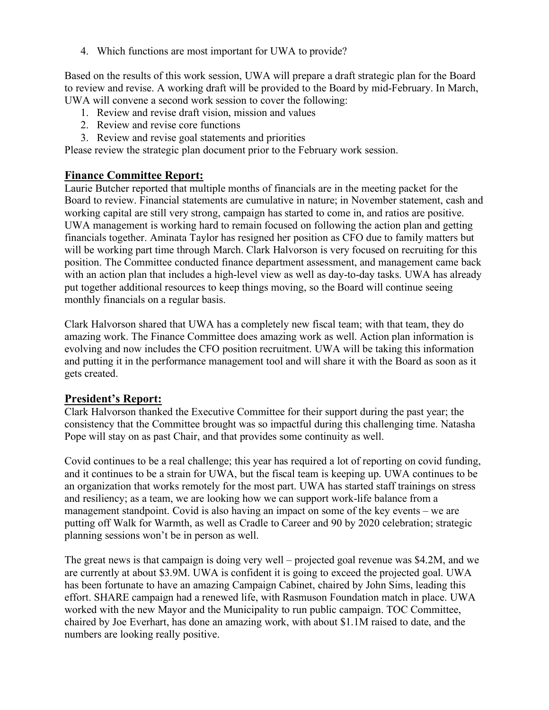4. Which functions are most important for UWA to provide?

Based on the results of this work session, UWA will prepare a draft strategic plan for the Board to review and revise. A working draft will be provided to the Board by mid-February. In March, UWA will convene a second work session to cover the following:

- 1. Review and revise draft vision, mission and values
- 2. Review and revise core functions
- 3. Review and revise goal statements and priorities

Please review the strategic plan document prior to the February work session.

#### **Finance Committee Report:**

Laurie Butcher reported that multiple months of financials are in the meeting packet for the Board to review. Financial statements are cumulative in nature; in November statement, cash and working capital are still very strong, campaign has started to come in, and ratios are positive. UWA management is working hard to remain focused on following the action plan and getting financials together. Aminata Taylor has resigned her position as CFO due to family matters but will be working part time through March. Clark Halvorson is very focused on recruiting for this position. The Committee conducted finance department assessment, and management came back with an action plan that includes a high-level view as well as day-to-day tasks. UWA has already put together additional resources to keep things moving, so the Board will continue seeing monthly financials on a regular basis.

Clark Halvorson shared that UWA has a completely new fiscal team; with that team, they do amazing work. The Finance Committee does amazing work as well. Action plan information is evolving and now includes the CFO position recruitment. UWA will be taking this information and putting it in the performance management tool and will share it with the Board as soon as it gets created.

### **President's Report:**

Clark Halvorson thanked the Executive Committee for their support during the past year; the consistency that the Committee brought was so impactful during this challenging time. Natasha Pope will stay on as past Chair, and that provides some continuity as well.

Covid continues to be a real challenge; this year has required a lot of reporting on covid funding, and it continues to be a strain for UWA, but the fiscal team is keeping up. UWA continues to be an organization that works remotely for the most part. UWA has started staff trainings on stress and resiliency; as a team, we are looking how we can support work-life balance from a management standpoint. Covid is also having an impact on some of the key events – we are putting off Walk for Warmth, as well as Cradle to Career and 90 by 2020 celebration; strategic planning sessions won't be in person as well.

The great news is that campaign is doing very well – projected goal revenue was \$4.2M, and we are currently at about \$3.9M. UWA is confident it is going to exceed the projected goal. UWA has been fortunate to have an amazing Campaign Cabinet, chaired by John Sims, leading this effort. SHARE campaign had a renewed life, with Rasmuson Foundation match in place. UWA worked with the new Mayor and the Municipality to run public campaign. TOC Committee, chaired by Joe Everhart, has done an amazing work, with about \$1.1M raised to date, and the numbers are looking really positive.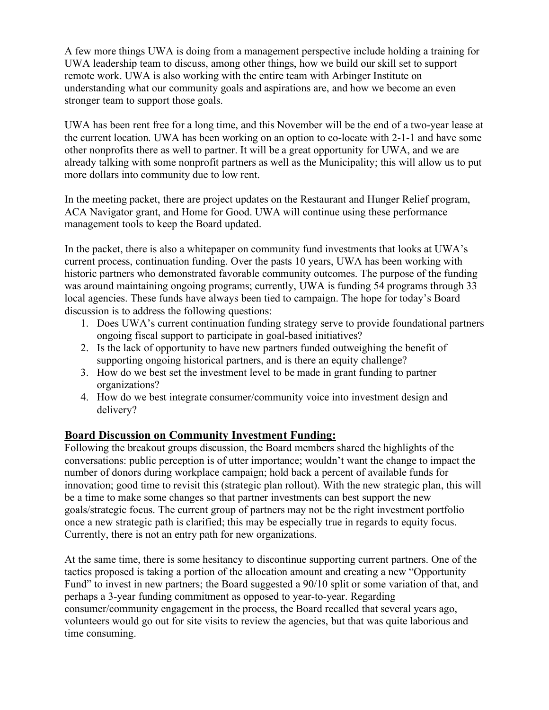A few more things UWA is doing from a management perspective include holding a training for UWA leadership team to discuss, among other things, how we build our skill set to support remote work. UWA is also working with the entire team with Arbinger Institute on understanding what our community goals and aspirations are, and how we become an even stronger team to support those goals.

UWA has been rent free for a long time, and this November will be the end of a two-year lease at the current location. UWA has been working on an option to co-locate with 2-1-1 and have some other nonprofits there as well to partner. It will be a great opportunity for UWA, and we are already talking with some nonprofit partners as well as the Municipality; this will allow us to put more dollars into community due to low rent.

In the meeting packet, there are project updates on the Restaurant and Hunger Relief program, ACA Navigator grant, and Home for Good. UWA will continue using these performance management tools to keep the Board updated.

In the packet, there is also a whitepaper on community fund investments that looks at UWA's current process, continuation funding. Over the pasts 10 years, UWA has been working with historic partners who demonstrated favorable community outcomes. The purpose of the funding was around maintaining ongoing programs; currently, UWA is funding 54 programs through 33 local agencies. These funds have always been tied to campaign. The hope for today's Board discussion is to address the following questions:

- 1. Does UWA's current continuation funding strategy serve to provide foundational partners ongoing fiscal support to participate in goal-based initiatives?
- 2. Is the lack of opportunity to have new partners funded outweighing the benefit of supporting ongoing historical partners, and is there an equity challenge?
- 3. How do we best set the investment level to be made in grant funding to partner organizations?
- 4. How do we best integrate consumer/community voice into investment design and delivery?

# **Board Discussion on Community Investment Funding:**

Following the breakout groups discussion, the Board members shared the highlights of the conversations: public perception is of utter importance; wouldn't want the change to impact the number of donors during workplace campaign; hold back a percent of available funds for innovation; good time to revisit this (strategic plan rollout). With the new strategic plan, this will be a time to make some changes so that partner investments can best support the new goals/strategic focus. The current group of partners may not be the right investment portfolio once a new strategic path is clarified; this may be especially true in regards to equity focus. Currently, there is not an entry path for new organizations.

At the same time, there is some hesitancy to discontinue supporting current partners. One of the tactics proposed is taking a portion of the allocation amount and creating a new "Opportunity Fund" to invest in new partners; the Board suggested a 90/10 split or some variation of that, and perhaps a 3-year funding commitment as opposed to year-to-year. Regarding consumer/community engagement in the process, the Board recalled that several years ago, volunteers would go out for site visits to review the agencies, but that was quite laborious and time consuming.